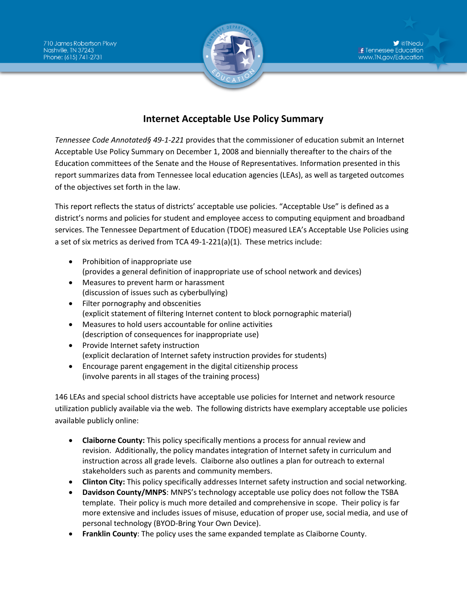

## **Internet Acceptable Use Policy Summary**

*Tennessee Code Annotated§ 49-1-221* provides that the commissioner of education submit an Internet Acceptable Use Policy Summary on December 1, 2008 and biennially thereafter to the chairs of the Education committees of the Senate and the House of Representatives. Information presented in this report summarizes data from Tennessee local education agencies (LEAs), as well as targeted outcomes of the objectives set forth in the law.

This report reflects the status of districts' acceptable use policies. "Acceptable Use" is defined as a district's norms and policies for student and employee access to computing equipment and broadband services. The Tennessee Department of Education (TDOE) measured LEA's Acceptable Use Policies using a set of six metrics as derived from TCA 49-1-221(a)(1). These metrics include:

- Prohibition of inappropriate use (provides a general definition of inappropriate use of school network and devices)
- Measures to prevent harm or harassment (discussion of issues such as cyberbullying)
- Filter pornography and obscenities (explicit statement of filtering Internet content to block pornographic material)
- Measures to hold users accountable for online activities (description of consequences for inappropriate use)
- Provide Internet safety instruction (explicit declaration of Internet safety instruction provides for students)
- Encourage parent engagement in the digital citizenship process (involve parents in all stages of the training process)

146 LEAs and special school districts have acceptable use policies for Internet and network resource utilization publicly available via the web. The following districts have exemplary acceptable use policies available publicly online:

- **Claiborne County:** This policy specifically mentions a process for annual review and revision. Additionally, the policy mandates integration of Internet safety in curriculum and instruction across all grade levels. Claiborne also outlines a plan for outreach to external stakeholders such as parents and community members.
- **Clinton City:** This policy specifically addresses Internet safety instruction and social networking.
- **Davidson County/MNPS**: MNPS's technology acceptable use policy does not follow the TSBA template. Their policy is much more detailed and comprehensive in scope. Their policy is far more extensive and includes issues of misuse, education of proper use, social media, and use of personal technology (BYOD-Bring Your Own Device).
- **Franklin County**: The policy uses the same expanded template as Claiborne County.